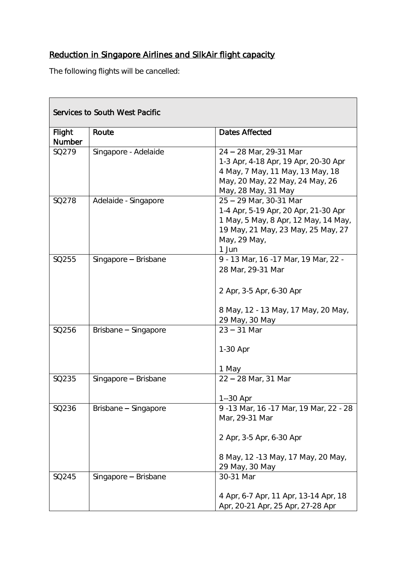## Reduction in Singapore Airlines and SilkAir flight capacity

The following flights will be cancelled:

| Services to South West Pacific |                      |                                                                                                                                                                       |
|--------------------------------|----------------------|-----------------------------------------------------------------------------------------------------------------------------------------------------------------------|
| Flight                         | Route                | Dates Affected                                                                                                                                                        |
| Number                         |                      |                                                                                                                                                                       |
| SQ279                          | Singapore - Adelaide | 24 - 28 Mar, 29-31 Mar<br>1-3 Apr, 4-18 Apr, 19 Apr, 20-30 Apr<br>4 May, 7 May, 11 May, 13 May, 18<br>May, 20 May, 22 May, 24 May, 26<br>May, 28 May, 31 May          |
| SQ278                          | Adelaide - Singapore | 25 - 29 Mar, 30-31 Mar<br>1-4 Apr, 5-19 Apr, 20 Apr, 21-30 Apr<br>1 May, 5 May, 8 Apr, 12 May, 14 May,<br>19 May, 21 May, 23 May, 25 May, 27<br>May, 29 May,<br>1 Jun |
| SQ255                          | Singapore - Brisbane | 9 - 13 Mar, 16 - 17 Mar, 19 Mar, 22 -<br>28 Mar, 29-31 Mar<br>2 Apr, 3-5 Apr, 6-30 Apr<br>8 May, 12 - 13 May, 17 May, 20 May,<br>29 May, 30 May                       |
| SQ256                          | Brisbane - Singapore | $23 - 31$ Mar<br>1-30 Apr<br>1 May                                                                                                                                    |
| SQ235                          | Singapore - Brisbane | $22 - 28$ Mar, 31 Mar<br>1--30 Apr                                                                                                                                    |
| SQ236                          | Brisbane - Singapore | 9-13 Mar, 16-17 Mar, 19 Mar, 22 - 28<br>Mar, 29-31 Mar<br>2 Apr, 3-5 Apr, 6-30 Apr<br>8 May, 12 -13 May, 17 May, 20 May,<br>29 May, 30 May                            |
| SQ245                          | Singapore - Brisbane | 30-31 Mar<br>4 Apr, 6-7 Apr, 11 Apr, 13-14 Apr, 18<br>Apr, 20-21 Apr, 25 Apr, 27-28 Apr                                                                               |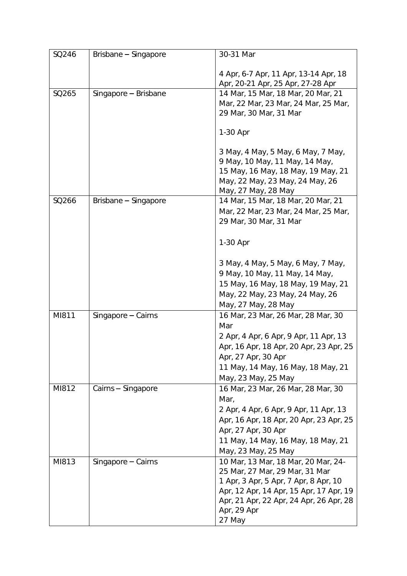| SQ246 | Brisbane - Singapore | 30-31 Mar                                                                                                                                                                                                                     |
|-------|----------------------|-------------------------------------------------------------------------------------------------------------------------------------------------------------------------------------------------------------------------------|
|       |                      | 4 Apr, 6-7 Apr, 11 Apr, 13-14 Apr, 18<br>Apr, 20-21 Apr, 25 Apr, 27-28 Apr                                                                                                                                                    |
| SQ265 | Singapore - Brisbane | 14 Mar, 15 Mar, 18 Mar, 20 Mar, 21<br>Mar, 22 Mar, 23 Mar, 24 Mar, 25 Mar,<br>29 Mar, 30 Mar, 31 Mar<br>1-30 Apr                                                                                                              |
|       |                      | 3 May, 4 May, 5 May, 6 May, 7 May,<br>9 May, 10 May, 11 May, 14 May,<br>15 May, 16 May, 18 May, 19 May, 21<br>May, 22 May, 23 May, 24 May, 26<br>May, 27 May, 28 May                                                          |
| SQ266 | Brisbane - Singapore | 14 Mar, 15 Mar, 18 Mar, 20 Mar, 21<br>Mar, 22 Mar, 23 Mar, 24 Mar, 25 Mar,<br>29 Mar, 30 Mar, 31 Mar                                                                                                                          |
|       |                      | 1-30 Apr                                                                                                                                                                                                                      |
|       |                      | 3 May, 4 May, 5 May, 6 May, 7 May,<br>9 May, 10 May, 11 May, 14 May,<br>15 May, 16 May, 18 May, 19 May, 21<br>May, 22 May, 23 May, 24 May, 26<br>May, 27 May, 28 May                                                          |
| MI811 | Singapore $-$ Cairns | 16 Mar, 23 Mar, 26 Mar, 28 Mar, 30<br>Mar<br>2 Apr, 4 Apr, 6 Apr, 9 Apr, 11 Apr, 13<br>Apr, 16 Apr, 18 Apr, 20 Apr, 23 Apr, 25<br>Apr, 27 Apr, 30 Apr<br>11 May, 14 May, 16 May, 18 May, 21<br>May, 23 May, 25 May            |
| MI812 | Cairns - Singapore   | 16 Mar, 23 Mar, 26 Mar, 28 Mar, 30<br>Mar,<br>2 Apr, 4 Apr, 6 Apr, 9 Apr, 11 Apr, 13<br>Apr, 16 Apr, 18 Apr, 20 Apr, 23 Apr, 25<br>Apr, 27 Apr, 30 Apr<br>11 May, 14 May, 16 May, 18 May, 21<br>May, 23 May, 25 May           |
| MI813 | Singapore - Cairns   | 10 Mar, 13 Mar, 18 Mar, 20 Mar, 24-<br>25 Mar, 27 Mar, 29 Mar, 31 Mar<br>1 Apr, 3 Apr, 5 Apr, 7 Apr, 8 Apr, 10<br>Apr, 12 Apr, 14 Apr, 15 Apr, 17 Apr, 19<br>Apr, 21 Apr, 22 Apr, 24 Apr, 26 Apr, 28<br>Apr, 29 Apr<br>27 May |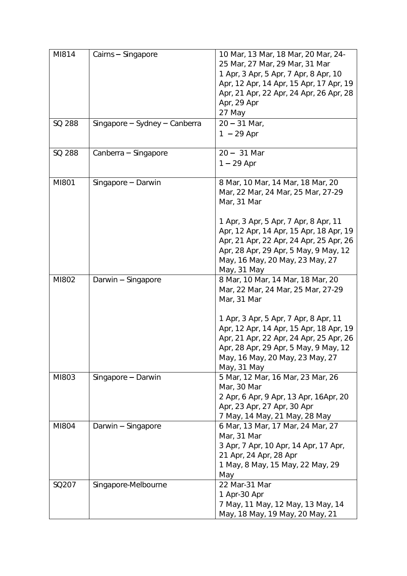| MI814  | Cairns - Singapore            | 10 Mar, 13 Mar, 18 Mar, 20 Mar, 24-<br>25 Mar, 27 Mar, 29 Mar, 31 Mar<br>1 Apr, 3 Apr, 5 Apr, 7 Apr, 8 Apr, 10<br>Apr, 12 Apr, 14 Apr, 15 Apr, 17 Apr, 19<br>Apr, 21 Apr, 22 Apr, 24 Apr, 26 Apr, 28<br>Apr, 29 Apr<br>27 May                                                                                    |
|--------|-------------------------------|------------------------------------------------------------------------------------------------------------------------------------------------------------------------------------------------------------------------------------------------------------------------------------------------------------------|
| SQ 288 | Singapore - Sydney - Canberra | $20 - 31$ Mar,<br>$1 - 29$ Apr                                                                                                                                                                                                                                                                                   |
| SQ 288 | Canberra - Singapore          | $20 - 31$ Mar<br>$1 - 29$ Apr                                                                                                                                                                                                                                                                                    |
| MI801  | Singapore - Darwin            | 8 Mar, 10 Mar, 14 Mar, 18 Mar, 20<br>Mar, 22 Mar, 24 Mar, 25 Mar, 27-29<br>Mar, 31 Mar<br>1 Apr, 3 Apr, 5 Apr, 7 Apr, 8 Apr, 11                                                                                                                                                                                  |
|        |                               | Apr, 12 Apr, 14 Apr, 15 Apr, 18 Apr, 19<br>Apr, 21 Apr, 22 Apr, 24 Apr, 25 Apr, 26<br>Apr, 28 Apr, 29 Apr, 5 May, 9 May, 12<br>May, 16 May, 20 May, 23 May, 27<br>May, 31 May                                                                                                                                    |
| MI802  | Darwin - Singapore            | 8 Mar, 10 Mar, 14 Mar, 18 Mar, 20<br>Mar, 22 Mar, 24 Mar, 25 Mar, 27-29<br>Mar, 31 Mar<br>1 Apr, 3 Apr, 5 Apr, 7 Apr, 8 Apr, 11<br>Apr, 12 Apr, 14 Apr, 15 Apr, 18 Apr, 19<br>Apr, 21 Apr, 22 Apr, 24 Apr, 25 Apr, 26<br>Apr, 28 Apr, 29 Apr, 5 May, 9 May, 12<br>May, 16 May, 20 May, 23 May, 27<br>May, 31 May |
| MI803  | Singapore - Darwin            | 5 Mar, 12 Mar, 16 Mar, 23 Mar, 26<br>Mar, 30 Mar<br>2 Apr, 6 Apr, 9 Apr, 13 Apr, 16Apr, 20<br>Apr, 23 Apr, 27 Apr, 30 Apr<br>7 May, 14 May, 21 May, 28 May                                                                                                                                                       |
| MI804  | Darwin - Singapore            | 6 Mar, 13 Mar, 17 Mar, 24 Mar, 27<br>Mar, 31 Mar<br>3 Apr, 7 Apr, 10 Apr, 14 Apr, 17 Apr,<br>21 Apr, 24 Apr, 28 Apr<br>1 May, 8 May, 15 May, 22 May, 29<br>May                                                                                                                                                   |
| SQ207  | Singapore-Melbourne           | 22 Mar-31 Mar<br>1 Apr-30 Apr<br>7 May, 11 May, 12 May, 13 May, 14<br>May, 18 May, 19 May, 20 May, 21                                                                                                                                                                                                            |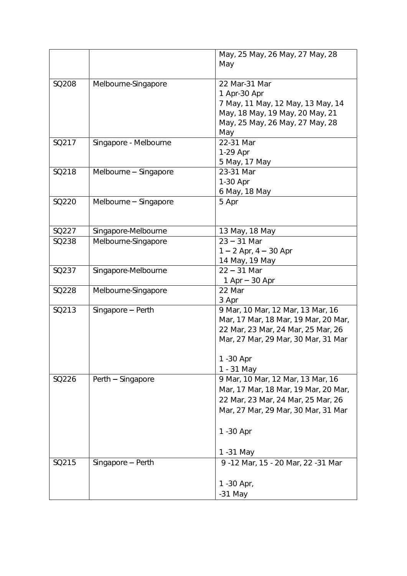|       |                       | May, 25 May, 26 May, 27 May, 28      |
|-------|-----------------------|--------------------------------------|
|       |                       | May                                  |
|       |                       |                                      |
| SQ208 | Melbourne-Singapore   | 22 Mar-31 Mar                        |
|       |                       | 1 Apr-30 Apr                         |
|       |                       | 7 May, 11 May, 12 May, 13 May, 14    |
|       |                       | May, 18 May, 19 May, 20 May, 21      |
|       |                       | May, 25 May, 26 May, 27 May, 28      |
|       |                       | May                                  |
| SQ217 | Singapore - Melbourne | 22-31 Mar                            |
|       |                       |                                      |
|       |                       | 1-29 Apr                             |
|       |                       | 5 May, 17 May                        |
| SQ218 | Melbourne - Singapore | 23-31 Mar                            |
|       |                       | 1-30 Apr                             |
|       |                       | 6 May, 18 May                        |
| SQ220 | Melbourne - Singapore | 5 Apr                                |
|       |                       |                                      |
|       |                       |                                      |
| SQ227 | Singapore-Melbourne   | 13 May, 18 May                       |
| SQ238 | Melbourne-Singapore   | $23 - 31$ Mar                        |
|       |                       | $1 - 2$ Apr, $4 - 30$ Apr            |
|       |                       | 14 May, 19 May                       |
| SQ237 | Singapore-Melbourne   | $22 - 31$ Mar                        |
|       |                       | 1 Apr $-$ 30 Apr                     |
| SQ228 | Melbourne-Singapore   | 22 Mar                               |
|       |                       | 3 Apr                                |
| SQ213 | Singapore - Perth     | 9 Mar, 10 Mar, 12 Mar, 13 Mar, 16    |
|       |                       | Mar, 17 Mar, 18 Mar, 19 Mar, 20 Mar, |
|       |                       | 22 Mar, 23 Mar, 24 Mar, 25 Mar, 26   |
|       |                       | Mar, 27 Mar, 29 Mar, 30 Mar, 31 Mar  |
|       |                       |                                      |
|       |                       | 1 - 30 Apr                           |
|       |                       | 1 - 31 May                           |
| SQ226 | Perth - Singapore     | 9 Mar, 10 Mar, 12 Mar, 13 Mar, 16    |
|       |                       |                                      |
|       |                       | Mar, 17 Mar, 18 Mar, 19 Mar, 20 Mar, |
|       |                       | 22 Mar, 23 Mar, 24 Mar, 25 Mar, 26   |
|       |                       | Mar, 27 Mar, 29 Mar, 30 Mar, 31 Mar  |
|       |                       |                                      |
|       |                       | 1 - 30 Apr                           |
|       |                       |                                      |
|       |                       | 1-31 May                             |
| SQ215 | Singapore $-$ Perth   | 9-12 Mar, 15 - 20 Mar, 22-31 Mar     |
|       |                       |                                      |
|       |                       | 1 - 30 Apr,                          |
|       |                       | $-31$ May                            |
|       |                       |                                      |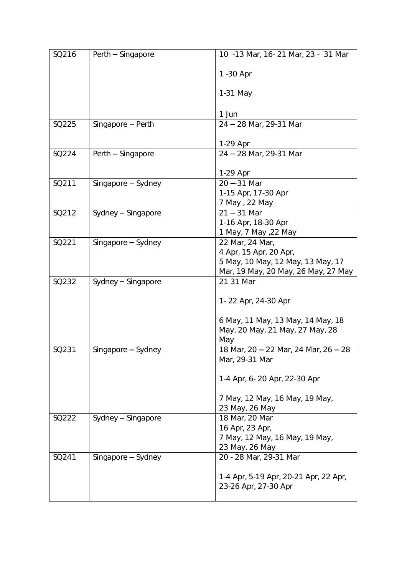| SQ216 | Perth - Singapore   | 10 -13 Mar, 16-21 Mar, 23 - 31 Mar        |
|-------|---------------------|-------------------------------------------|
|       |                     | 1 - 30 Apr                                |
|       |                     | 1-31 May                                  |
|       |                     | 1 Jun                                     |
| SQ225 | Singapore -- Perth  | 24 - 28 Mar, 29-31 Mar                    |
|       |                     | 1-29 Apr                                  |
| SQ224 | Perth -- Singapore  | 24 - 28 Mar, 29-31 Mar                    |
|       |                     |                                           |
|       |                     | 1-29 Apr                                  |
| SQ211 | Singapore -- Sydney | $20 - 31$ Mar                             |
|       |                     | 1-15 Apr, 17-30 Apr                       |
|       |                     | 7 May, 22 May                             |
| SQ212 | Sydney - Singapore  | $21 - 31$ Mar                             |
|       |                     | 1-16 Apr, 18-30 Apr                       |
| SQ221 |                     | 1 May, 7 May , 22 May                     |
|       | Singapore - Sydney  | 22 Mar, 24 Mar,<br>4 Apr, 15 Apr, 20 Apr, |
|       |                     | 5 May, 10 May, 12 May, 13 May, 17         |
|       |                     | Mar, 19 May, 20 May, 26 May, 27 May       |
| SQ232 | Sydney - Singapore  | 21 31 Mar                                 |
|       |                     |                                           |
|       |                     | 1-22 Apr, 24-30 Apr                       |
|       |                     | 6 May, 11 May, 13 May, 14 May, 18         |
|       |                     | May, 20 May, 21 May, 27 May, 28           |
|       |                     | May                                       |
| SQ231 | Singapore - Sydney  | 18 Mar, 20 - 22 Mar, 24 Mar, 26 - 28      |
|       |                     | Mar, 29-31 Mar                            |
|       |                     | 1-4 Apr, 6-20 Apr, 22-30 Apr              |
|       |                     | 7 May, 12 May, 16 May, 19 May,            |
|       |                     | 23 May, 26 May                            |
| SQ222 | Sydney - Singapore  | 18 Mar, 20 Mar                            |
|       |                     | 16 Apr, 23 Apr,                           |
|       |                     | 7 May, 12 May, 16 May, 19 May,            |
|       |                     | 23 May, 26 May                            |
| SQ241 | Singapore - Sydney  | 20 - 28 Mar, 29-31 Mar                    |
|       |                     | 1-4 Apr, 5-19 Apr, 20-21 Apr, 22 Apr,     |
|       |                     | 23-26 Apr, 27-30 Apr                      |
|       |                     |                                           |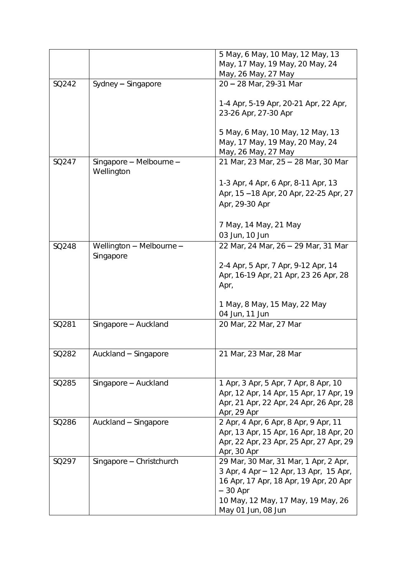|       |                                       | 5 May, 6 May, 10 May, 12 May, 13<br>May, 17 May, 19 May, 20 May, 24<br>May, 26 May, 27 May                                                                                                         |
|-------|---------------------------------------|----------------------------------------------------------------------------------------------------------------------------------------------------------------------------------------------------|
| SQ242 | Sydney - Singapore                    | 20 - 28 Mar, 29-31 Mar                                                                                                                                                                             |
|       |                                       | 1-4 Apr, 5-19 Apr, 20-21 Apr, 22 Apr,<br>23-26 Apr, 27-30 Apr<br>5 May, 6 May, 10 May, 12 May, 13<br>May, 17 May, 19 May, 20 May, 24<br>May, 26 May, 27 May                                        |
| SQ247 | Singapore - Melbourne -<br>Wellington | 21 Mar, 23 Mar, 25 - 28 Mar, 30 Mar                                                                                                                                                                |
|       |                                       | 1-3 Apr, 4 Apr, 6 Apr, 8-11 Apr, 13<br>Apr, 15 - 18 Apr, 20 Apr, 22-25 Apr, 27<br>Apr, 29-30 Apr<br>7 May, 14 May, 21 May<br>03 Jun, 10 Jun                                                        |
| SQ248 | Wellington - Melbourne -              | 22 Mar, 24 Mar, 26 - 29 Mar, 31 Mar                                                                                                                                                                |
|       | Singapore                             | 2-4 Apr, 5 Apr, 7 Apr, 9-12 Apr, 14<br>Apr, 16-19 Apr, 21 Apr, 23 26 Apr, 28<br>Apr,<br>1 May, 8 May, 15 May, 22 May<br>04 Jun, 11 Jun                                                             |
| SQ281 | Singapore - Auckland                  | 20 Mar, 22 Mar, 27 Mar                                                                                                                                                                             |
| SQ282 | Auckland - Singapore                  | 21 Mar, 23 Mar, 28 Mar                                                                                                                                                                             |
| SQ285 | Singapore - Auckland                  | 1 Apr, 3 Apr, 5 Apr, 7 Apr, 8 Apr, 10<br>Apr, 12 Apr, 14 Apr, 15 Apr, 17 Apr, 19<br>Apr, 21 Apr, 22 Apr, 24 Apr, 26 Apr, 28<br>Apr, 29 Apr                                                         |
| SQ286 | Auckland - Singapore                  | 2 Apr, 4 Apr, 6 Apr, 8 Apr, 9 Apr, 11<br>Apr, 13 Apr, 15 Apr, 16 Apr, 18 Apr, 20<br>Apr, 22 Apr, 23 Apr, 25 Apr, 27 Apr, 29<br>Apr, 30 Apr                                                         |
| SQ297 | Singapore - Christchurch              | 29 Mar, 30 Mar, 31 Mar, 1 Apr, 2 Apr,<br>3 Apr, 4 Apr - 12 Apr, 13 Apr, 15 Apr,<br>16 Apr, 17 Apr, 18 Apr, 19 Apr, 20 Apr<br>$-30$ Apr<br>10 May, 12 May, 17 May, 19 May, 26<br>May 01 Jun, 08 Jun |